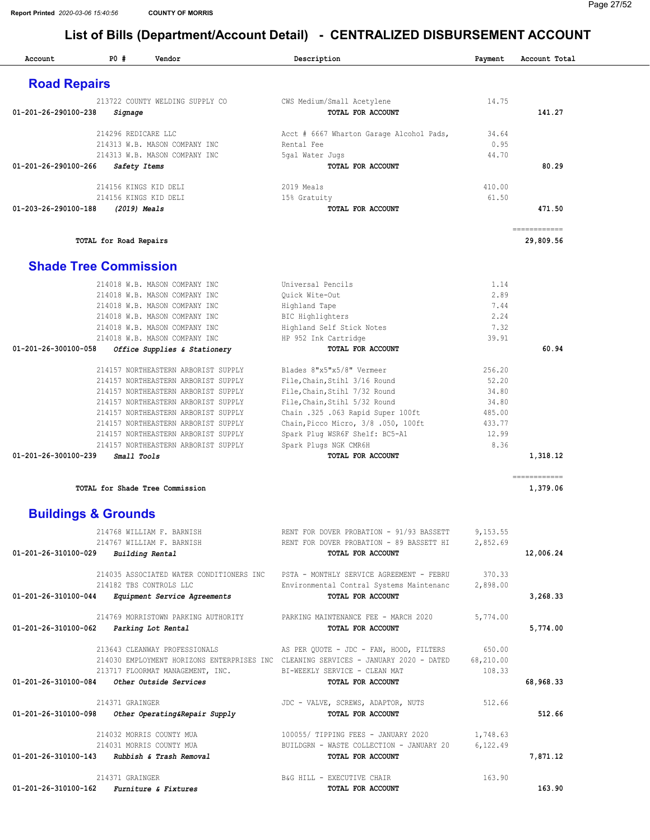| Account                                      | P0#                                            | Vendor                                                                                                                                                                                                                                                                                                               | Description                                                                                                                                                                                                                                                         | Payment                                                                | Account Total            |
|----------------------------------------------|------------------------------------------------|----------------------------------------------------------------------------------------------------------------------------------------------------------------------------------------------------------------------------------------------------------------------------------------------------------------------|---------------------------------------------------------------------------------------------------------------------------------------------------------------------------------------------------------------------------------------------------------------------|------------------------------------------------------------------------|--------------------------|
| <b>Road Repairs</b>                          |                                                |                                                                                                                                                                                                                                                                                                                      |                                                                                                                                                                                                                                                                     |                                                                        |                          |
| $01 - 201 - 26 - 290100 - 238$               | Signage                                        | 213722 COUNTY WELDING SUPPLY CO                                                                                                                                                                                                                                                                                      | CWS Medium/Small Acetylene<br>TOTAL FOR ACCOUNT                                                                                                                                                                                                                     | 14.75                                                                  | 141.27                   |
|                                              | 214296 REDICARE LLC                            | 214313 W.B. MASON COMPANY INC<br>214313 W.B. MASON COMPANY INC                                                                                                                                                                                                                                                       | Acct # 6667 Wharton Garage Alcohol Pads,<br>Rental Fee<br>5gal Water Jugs                                                                                                                                                                                           | 34.64<br>0.95<br>44.70                                                 |                          |
| 01-201-26-290100-266                         | Safety Items                                   |                                                                                                                                                                                                                                                                                                                      | TOTAL FOR ACCOUNT                                                                                                                                                                                                                                                   |                                                                        | 80.29                    |
|                                              | 214156 KINGS KID DELI<br>214156 KINGS KID DELI |                                                                                                                                                                                                                                                                                                                      | 2019 Meals<br>15% Gratuity                                                                                                                                                                                                                                          | 410.00<br>61.50                                                        |                          |
| 01-203-26-290100-188                         | (2019) Meals                                   |                                                                                                                                                                                                                                                                                                                      | TOTAL FOR ACCOUNT                                                                                                                                                                                                                                                   |                                                                        | 471.50<br>============   |
|                                              | TOTAL for Road Repairs                         |                                                                                                                                                                                                                                                                                                                      |                                                                                                                                                                                                                                                                     |                                                                        | 29,809.56                |
| <b>Shade Tree Commission</b>                 |                                                |                                                                                                                                                                                                                                                                                                                      |                                                                                                                                                                                                                                                                     |                                                                        |                          |
|                                              |                                                | 214018 W.B. MASON COMPANY INC<br>214018 W.B. MASON COMPANY INC<br>214018 W.B. MASON COMPANY INC<br>214018 W.B. MASON COMPANY INC<br>214018 W.B. MASON COMPANY INC<br>214018 W.B. MASON COMPANY INC                                                                                                                   | Universal Pencils<br>Ouick Wite-Out<br>Highland Tape<br><b>BIC Highlighters</b><br>Highland Self Stick Notes<br>HP 952 Ink Cartridge                                                                                                                                | 1.14<br>2.89<br>7.44<br>2.24<br>7.32<br>39.91                          |                          |
| 01-201-26-300100-058                         |                                                | Office Supplies & Stationery                                                                                                                                                                                                                                                                                         | TOTAL FOR ACCOUNT                                                                                                                                                                                                                                                   |                                                                        | 60.94                    |
|                                              |                                                | 214157 NORTHEASTERN ARBORIST SUPPLY<br>214157 NORTHEASTERN ARBORIST SUPPLY<br>214157 NORTHEASTERN ARBORIST SUPPLY<br>214157 NORTHEASTERN ARBORIST SUPPLY<br>214157 NORTHEASTERN ARBORIST SUPPLY<br>214157 NORTHEASTERN ARBORIST SUPPLY<br>214157 NORTHEASTERN ARBORIST SUPPLY<br>214157 NORTHEASTERN ARBORIST SUPPLY | Blades 8"x5"x5/8" Vermeer<br>File, Chain, Stihl 3/16 Round<br>File, Chain, Stihl 7/32 Round<br>File, Chain, Stihl 5/32 Round<br>Chain .325 .063 Rapid Super 100ft<br>Chain, Picco Micro, 3/8 .050, 100ft<br>Spark Plug WSR6F Shelf: BC5-A1<br>Spark Plugs NGK CMR6H | 256.20<br>52.20<br>34.80<br>34.80<br>485.00<br>433.77<br>12.99<br>8.36 |                          |
| 01-201-26-300100-239                         | Small Tools                                    |                                                                                                                                                                                                                                                                                                                      | TOTAL FOR ACCOUNT                                                                                                                                                                                                                                                   |                                                                        | 1,318.12                 |
|                                              |                                                | TOTAL for Shade Tree Commission                                                                                                                                                                                                                                                                                      |                                                                                                                                                                                                                                                                     |                                                                        | ============<br>1,379.06 |
| <b>Buildings &amp; Grounds</b>               |                                                |                                                                                                                                                                                                                                                                                                                      |                                                                                                                                                                                                                                                                     |                                                                        |                          |
| 01-201-26-310100-029 Building Rental         |                                                | 214768 WILLIAM F. BARNISH<br>214767 WILLIAM F. BARNISH                                                                                                                                                                                                                                                               | RENT FOR DOVER PROBATION - 91/93 BASSETT<br>RENT FOR DOVER PROBATION - 89 BASSETT HI<br>TOTAL FOR ACCOUNT                                                                                                                                                           | 9,153.55<br>2,852.69                                                   | 12,006.24                |
| 01-201-26-310100-044                         |                                                | 214035 ASSOCIATED WATER CONDITIONERS INC<br>214182 TBS CONTROLS LLC<br>Equipment Service Agreements                                                                                                                                                                                                                  | PSTA - MONTHLY SERVICE AGREEMENT - FEBRU<br>Environmental Contral Systems Maintenanc<br>TOTAL FOR ACCOUNT                                                                                                                                                           | 370.33<br>2,898.00                                                     | 3,268.33                 |
| 01-201-26-310100-062                         |                                                | 214769 MORRISTOWN PARKING AUTHORITY<br>Parking Lot Rental                                                                                                                                                                                                                                                            | PARKING MAINTENANCE FEE - MARCH 2020<br>TOTAL FOR ACCOUNT                                                                                                                                                                                                           | 5,774.00                                                               | 5,774.00                 |
| 01-201-26-310100-084                         |                                                | 213643 CLEANWAY PROFESSIONALS<br>213717 FLOORMAT MANAGEMENT, INC.<br>Other Outside Services                                                                                                                                                                                                                          | AS PER QUOTE - JDC - FAN, HOOD, FILTERS<br>214030 EMPLOYMENT HORIZONS ENTERPRISES INC CLEANING SERVICES - JANUARY 2020 - DATED<br>BI-WEEKLY SERVICE - CLEAN MAT<br>TOTAL FOR ACCOUNT                                                                                | 650.00<br>68,210.00<br>108.33                                          | 68,968.33                |
|                                              | 214371 GRAINGER                                |                                                                                                                                                                                                                                                                                                                      | JDC - VALVE, SCREWS, ADAPTOR, NUTS                                                                                                                                                                                                                                  | 512.66                                                                 |                          |
| 01-201-26-310100-098                         |                                                | Other Operating&Repair Supply                                                                                                                                                                                                                                                                                        | TOTAL FOR ACCOUNT                                                                                                                                                                                                                                                   |                                                                        | 512.66                   |
| 01-201-26-310100-143 Rubbish & Trash Removal |                                                | 214032 MORRIS COUNTY MUA<br>214031 MORRIS COUNTY MUA                                                                                                                                                                                                                                                                 | 100055/ TIPPING FEES - JANUARY 2020<br>BUILDGRN - WASTE COLLECTION - JANUARY 20<br>TOTAL FOR ACCOUNT                                                                                                                                                                | 1,748.63<br>6, 122.49                                                  | 7,871.12                 |
| 01-201-26-310100-162                         | 214371 GRAINGER                                | <i>Furniture &amp; Fixtures</i>                                                                                                                                                                                                                                                                                      | B&G HILL - EXECUTIVE CHAIR<br>TOTAL FOR ACCOUNT                                                                                                                                                                                                                     | 163.90                                                                 | 163.90                   |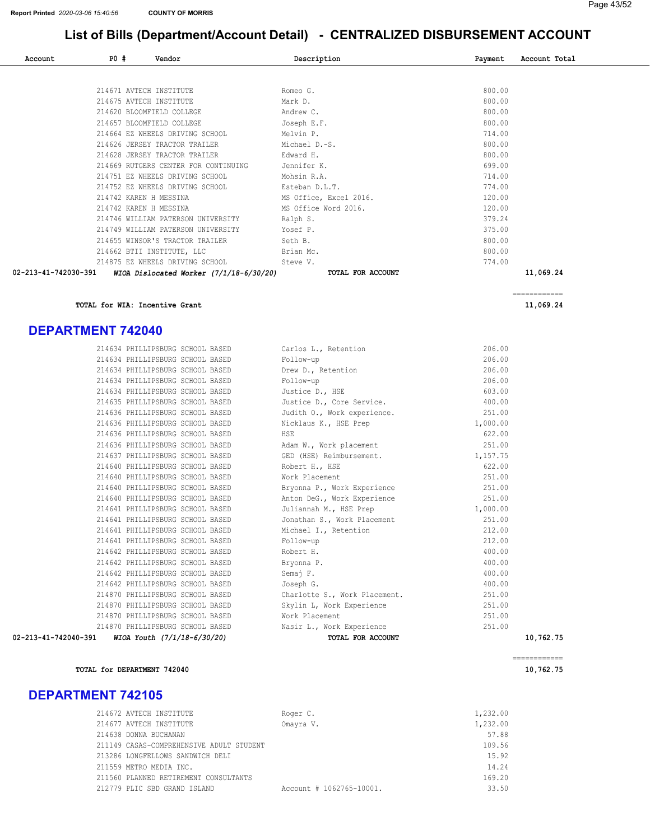| Account              | <b>PO #</b> | Vendor                                    | Description            | Payment | Account Total |
|----------------------|-------------|-------------------------------------------|------------------------|---------|---------------|
|                      |             |                                           |                        |         |               |
|                      |             | 214671 AVTECH INSTITUTE                   | Romeo G.               | 800.00  |               |
|                      |             | 214675 AVTECH INSTITUTE                   | Mark D.                | 800.00  |               |
|                      |             | 214620 BLOOMFIELD COLLEGE                 | Andrew C.              | 800.00  |               |
|                      |             | 214657 BLOOMFIELD COLLEGE                 | Joseph E.F.            | 800.00  |               |
|                      |             | 214664 EZ WHEELS DRIVING SCHOOL           | Melvin P.              | 714.00  |               |
|                      |             | 214626 JERSEY TRACTOR TRAILER             | Michael D.-S.          | 800.00  |               |
|                      |             | 214628 JERSEY TRACTOR TRAILER             | Edward H.              | 800.00  |               |
|                      |             | 214669 RUTGERS CENTER FOR CONTINUING      | Jennifer K.            | 699.00  |               |
|                      |             | 214751 EZ WHEELS DRIVING SCHOOL           | Mohsin R.A.            | 714.00  |               |
|                      |             | 214752 EZ WHEELS DRIVING SCHOOL           | Esteban D.L.T.         | 774.00  |               |
|                      |             | 214742 KAREN H MESSINA                    | MS Office, Excel 2016. | 120.00  |               |
|                      |             | 214742 KAREN H MESSINA                    | MS Office Word 2016.   | 120.00  |               |
|                      |             | 214746 WILLIAM PATERSON UNIVERSITY        | Ralph S.               | 379.24  |               |
|                      |             | 214749 WILLIAM PATERSON UNIVERSITY        | Yosef P.               | 375.00  |               |
|                      |             | 214655 WINSOR'S TRACTOR TRAILER           | Seth B.                | 800.00  |               |
|                      |             | 214662 BTII INSTITUTE, LLC                | Brian Mc.              | 800.00  |               |
|                      |             | 214875 EZ WHEELS DRIVING SCHOOL           | Steve V.               | 774.00  |               |
| 02-213-41-742030-391 |             | WIOA Dislocated Worker $(7/1/18-6/30/20)$ | TOTAL FOR ACCOUNT      |         | 11,069.24     |

Pussice D., Cole School.<br>
251.00 Judith O., Work experience. 251.00

21.00 Phillips S., Work Placement. 251.00<br>251.00 Phillips

TOTAL for WIA: Incentive Grant  $11,069.24$ 

#### DEPARTMENT 742040

 PHILLIPSBURG SCHOOL BASED Follow-up 206.00 PHILLIPSBURG SCHOOL BASED Follow-up 206.00 PHILLIPSBURG SCHOOL BASED Justice D., Core Service. 400.00 214636 PHILLIPSBURG SCHOOL BASED PHILLIPSBURG SCHOOL BASED HSE 622.00 PHILLIPSBURG SCHOOL BASED Adam W., Work placement 251.00 PHILLIPSBURG SCHOOL BASED GED (HSE) Reimbursement. 1,157.75 214640 PHILLIPSBURG SCHOOL BASED 214641 PHILLIPSBURG SCHOOL BASED PHILLIPSBURG SCHOOL BASED Bryonna P. 400.00 PHILLIPSBURG SCHOOL BASED Semaj F. 400.00 PHILLIPSBURG SCHOOL BASED Joseph G. 400.00 214870 PHILLIPSBURG SCHOOL BASED PHILLIPSBURG SCHOOL BASED Work Placement 251.00 214634 PHILLIPSBURG SCHOOL BASED Carlos L., Retention 206.00<br>214634 PHILLIPSBURG SCHOOL BASED Follow-up 206.00 214634 PHILLIPSBURG SCHOOL BASED Drew D., Retention 206.00<br>214634 PHILLIPSBURG SCHOOL BASED Follow-up 206.00<br>214634 PHILLIPSBURG SCHOOL BASED Justice D., HSE 603.00 214634 PHILLIPSBURG SCHOOL BASED Justice D., HSE 603.00<br>214635 PHILLIPSBURG SCHOOL BASED Justice D., Core Service. 400.00 PHILLIPSBURG SCHOOL BASED Nicklaus K., HSE Prep 1,000.00 PHILLIPSBURG SCHOOL BASED Robert H., HSE 622.00 PHILLIPSBURG SCHOOL BASED Work Placement 251.00 PHILLIPSBURG SCHOOL BASED Bryonna P., Work Experience 251.00 PHILLIPSBURG SCHOOL BASED Anton DeG., Work Experience 251.00 PHILLIPSBURG SCHOOL BASED Juliannah M., HSE Prep 1,000.00 PHILLIPSBURG SCHOOL BASED Jonathan S., Work Placement 251.00 PHILLIPSBURG SCHOOL BASED Michael I., Retention 212.00 PHILLIPSBURG SCHOOL BASED Follow-up 212.00 PHILLIPSBURG SCHOOL BASED Robert H. 400.00 PHILLIPSBURG SCHOOL BASED Skylin L, Work Experience 251.00 PHILLIPSBURG SCHOOL BASED Nasir L., Work Experience 251.00 02-213-41-742040-391 WIOA Youth (7/1/18-6/30/20) TOTAL FOR ACCOUNT 10,762.75

TOTAL for DEPARTMENT 742040 10,762.75

#### DEPARTMENT 742105

| 214672 AVTECH INSTITUTE                  | Roger C.                 | 1,232.00 |
|------------------------------------------|--------------------------|----------|
| 214677 AVTECH INSTITUTE                  | Omayra V.                | 1,232.00 |
| 214638 DONNA BUCHANAN                    |                          | 57.88    |
| 211149 CASAS-COMPREHENSIVE ADULT STUDENT |                          | 109.56   |
| 213286 LONGFELLOWS SANDWICH DELI         |                          | 15.92    |
| 211559 METRO MEDIA INC.                  |                          | 14.24    |
| 211560 PLANNED RETIREMENT CONSULTANTS    |                          | 169.20   |
| 212779 PLIC SBD GRAND ISLAND             | Account # 1062765-10001. | 33.50    |
|                                          |                          |          |



============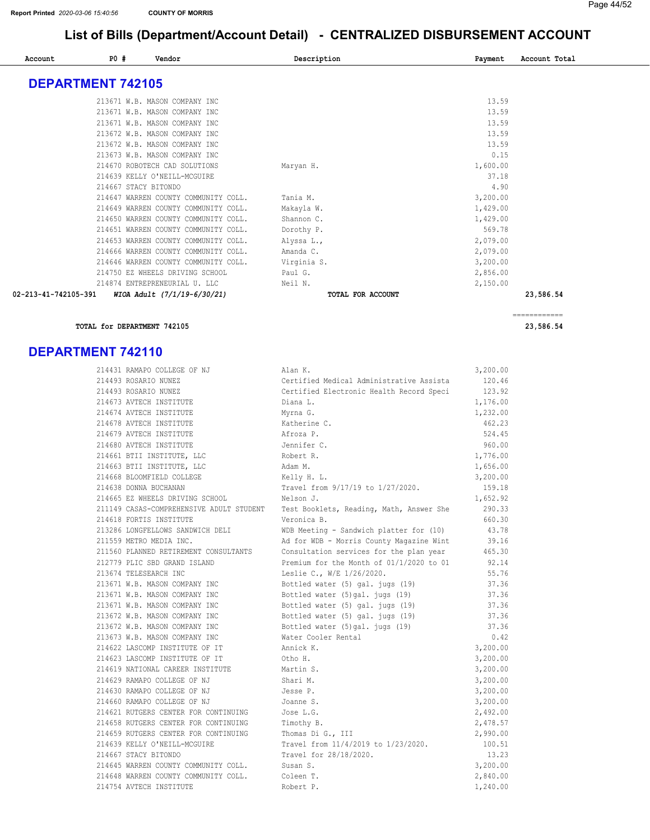| Account              | P0#                      | Vendor                               | Description       | Payment  | Account Total |
|----------------------|--------------------------|--------------------------------------|-------------------|----------|---------------|
|                      |                          |                                      |                   |          |               |
|                      | <b>DEPARTMENT 742105</b> |                                      |                   |          |               |
|                      |                          | 213671 W.B. MASON COMPANY INC        |                   | 13.59    |               |
|                      |                          | 213671 W.B. MASON COMPANY INC        |                   | 13.59    |               |
|                      |                          | 213671 W.B. MASON COMPANY INC        |                   | 13.59    |               |
|                      |                          | 213672 W.B. MASON COMPANY INC        |                   | 13.59    |               |
|                      |                          | 213672 W.B. MASON COMPANY INC        |                   | 13.59    |               |
|                      |                          | 213673 W.B. MASON COMPANY INC        |                   | 0.15     |               |
|                      |                          | 214670 ROBOTECH CAD SOLUTIONS        | Maryan H.         | 1,600.00 |               |
|                      |                          | 214639 KELLY O'NEILL-MCGUIRE         |                   | 37.18    |               |
|                      | 214667 STACY BITONDO     |                                      |                   | 4.90     |               |
|                      |                          | 214647 WARREN COUNTY COMMUNITY COLL. | Tania M.          | 3,200.00 |               |
|                      |                          | 214649 WARREN COUNTY COMMUNITY COLL. | Makayla W.        | 1,429.00 |               |
|                      |                          | 214650 WARREN COUNTY COMMUNITY COLL. | Shannon C.        | 1,429.00 |               |
|                      |                          | 214651 WARREN COUNTY COMMUNITY COLL. | Dorothy P.        | 569.78   |               |
|                      |                          | 214653 WARREN COUNTY COMMUNITY COLL. | Alyssa L.,        | 2,079.00 |               |
|                      |                          | 214666 WARREN COUNTY COMMUNITY COLL. | Amanda C.         | 2,079.00 |               |
|                      |                          | 214646 WARREN COUNTY COMMUNITY COLL. | Virginia S.       | 3,200.00 |               |
|                      |                          | 214750 EZ WHEELS DRIVING SCHOOL      | Paul G.           | 2,856.00 |               |
|                      |                          | 214874 ENTREPRENEURIAL U. LLC        | Neil N.           | 2,150.00 |               |
| 02-213-41-742105-391 |                          | WIOA Adult (7/1/19-6/30/21)          | TOTAL FOR ACCOUNT |          | 23,586.54     |

#### TOTAL for DEPARTMENT 742105 23,586.54

#### DEPARTMENT 742110

| 214431 RAMAPO COLLEGE OF NJ              | Alan K.                                  | 3,200.00 |
|------------------------------------------|------------------------------------------|----------|
| 214493 ROSARIO NUNEZ                     | Certified Medical Administrative Assista | 120.46   |
| 214493 ROSARIO NUNEZ                     | Certified Electronic Health Record Speci | 123.92   |
| 214673 AVTECH INSTITUTE                  | Diana L.                                 | 1,176.00 |
| 214674 AVTECH INSTITUTE                  | Myrna G.                                 | 1,232.00 |
| 214678 AVTECH INSTITUTE                  | Katherine C.                             | 462.23   |
| 214679 AVTECH INSTITUTE                  | Afroza P.                                | 524.45   |
| 214680 AVTECH INSTITUTE                  | Jennifer C.                              | 960.00   |
| 214661 BTII INSTITUTE, LLC               | Robert R.                                | 1,776.00 |
| 214663 BTII INSTITUTE, LLC               | Adam M.                                  | 1,656.00 |
| 214668 BLOOMFIELD COLLEGE                | Kelly H. L.                              | 3,200.00 |
| 214638 DONNA BUCHANAN                    | Travel from 9/17/19 to 1/27/2020.        | 159.18   |
| 214665 EZ WHEELS DRIVING SCHOOL          | Nelson J.                                | 1,652.92 |
| 211149 CASAS-COMPREHENSIVE ADULT STUDENT | Test Booklets, Reading, Math, Answer She | 290.33   |
| 214618 FORTIS INSTITUTE                  | Veronica B.                              | 660.30   |
| 213286 LONGFELLOWS SANDWICH DELI         | WDB Meeting - Sandwich platter for (10)  | 43.78    |
| 211559 METRO MEDIA INC.                  | Ad for WDB - Morris County Magazine Wint | 39.16    |
| 211560 PLANNED RETIREMENT CONSULTANTS    | Consultation services for the plan year  | 465.30   |
| 212779 PLIC SBD GRAND ISLAND             | Premium for the Month of 01/1/2020 to 01 | 92.14    |
| 213674 TELESEARCH INC                    | Leslie C., W/E 1/26/2020.                | 55.76    |
| 213671 W.B. MASON COMPANY INC            | Bottled water (5) gal. jugs (19)         | 37.36    |
| 213671 W.B. MASON COMPANY INC            | Bottled water (5) gal. jugs (19)         | 37.36    |
| 213671 W.B. MASON COMPANY INC            | Bottled water (5) gal. jugs (19)         | 37.36    |
| 213672 W.B. MASON COMPANY INC            | Bottled water (5) gal. jugs (19)         | 37.36    |
| 213672 W.B. MASON COMPANY INC            | Bottled water (5)gal. jugs (19)          | 37.36    |
| 213673 W.B. MASON COMPANY INC            | Water Cooler Rental                      | 0.42     |
| 214622 LASCOMP INSTITUTE OF IT           | Annick K.                                | 3,200.00 |
| 214623 LASCOMP INSTITUTE OF IT           | Otho H.                                  | 3,200.00 |
| 214619 NATIONAL CAREER INSTITUTE         | Martin S.                                | 3,200.00 |
| 214629 RAMAPO COLLEGE OF NJ              | Shari M.                                 | 3,200.00 |
| 214630 RAMAPO COLLEGE OF NJ              | Jesse P.                                 | 3,200.00 |
| 214660 RAMAPO COLLEGE OF NJ              | Joanne S.                                | 3,200.00 |
| 214621 RUTGERS CENTER FOR CONTINUING     | Jose L.G.                                | 2,492.00 |
| 214658 RUTGERS CENTER FOR CONTINUING     | Timothy B.                               | 2,478.57 |
| 214659 RUTGERS CENTER FOR CONTINUING     | Thomas Di G., III                        | 2,990.00 |
| 214639 KELLY O'NEILL-MCGUIRE             | Travel from 11/4/2019 to 1/23/2020.      | 100.51   |
| 214667 STACY BITONDO                     | Travel for 28/18/2020.                   | 13.23    |
| 214645 WARREN COUNTY COMMUNITY COLL.     | Susan S.                                 | 3,200.00 |
| 214648 WARREN COUNTY COMMUNITY COLL.     | Coleen T.                                | 2,840.00 |
| 214754 AVTECH INSTITUTE                  | Robert P.                                | 1,240.00 |

============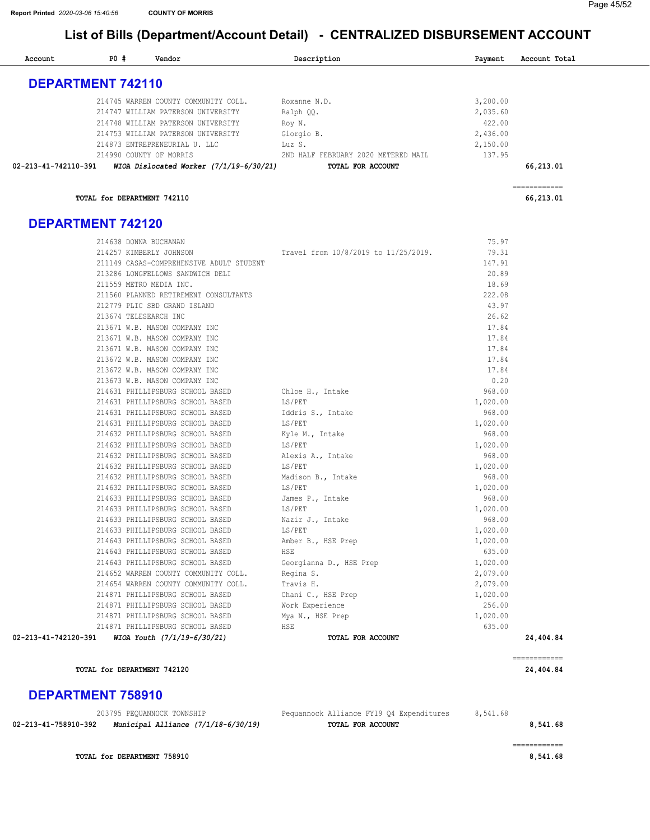| Account                  | P0#                         | Vendor                                                         | Description                          | Payment        | Account Total |
|--------------------------|-----------------------------|----------------------------------------------------------------|--------------------------------------|----------------|---------------|
| <b>DEPARTMENT 742110</b> |                             |                                                                |                                      |                |               |
|                          |                             | 214745 WARREN COUNTY COMMUNITY COLL.                           | Roxanne N.D.                         | 3,200.00       |               |
|                          |                             | 214747 WILLIAM PATERSON UNIVERSITY                             | Ralph QQ.                            | 2,035.60       |               |
|                          |                             | 214748 WILLIAM PATERSON UNIVERSITY                             | Roy N.                               | 422.00         |               |
|                          |                             | 214753 WILLIAM PATERSON UNIVERSITY                             | Giorgio B.                           | 2,436.00       |               |
|                          |                             | 214873 ENTREPRENEURIAL U. LLC                                  | Luz S.                               | 2,150.00       |               |
|                          |                             | 214990 COUNTY OF MORRIS                                        | 2ND HALF FEBRUARY 2020 METERED MAIL  | 137.95         |               |
|                          |                             |                                                                | TOTAL FOR ACCOUNT                    |                | 66,213.01     |
|                          |                             |                                                                |                                      |                | ------------  |
|                          | TOTAL for DEPARTMENT 742110 |                                                                |                                      |                | 66,213.01     |
| <b>DEPARTMENT 742120</b> |                             |                                                                |                                      |                |               |
|                          | 214638 DONNA BUCHANAN       |                                                                |                                      | 75.97          |               |
|                          |                             | 214257 KIMBERLY JOHNSON                                        | Travel from 10/8/2019 to 11/25/2019. | 79.31          |               |
|                          |                             | 211149 CASAS-COMPREHENSIVE ADULT STUDENT                       |                                      | 147.91         |               |
|                          |                             | 213286 LONGFELLOWS SANDWICH DELI                               |                                      | 20.89          |               |
|                          |                             | 211559 METRO MEDIA INC.                                        |                                      | 18.69          |               |
|                          |                             | 211560 PLANNED RETIREMENT CONSULTANTS                          |                                      | 222.08         |               |
|                          |                             | 212779 PLIC SBD GRAND ISLAND                                   |                                      | 43.97          |               |
|                          | 213674 TELESEARCH INC       |                                                                |                                      | 26.62          |               |
|                          |                             | 213671 W.B. MASON COMPANY INC                                  |                                      | 17.84          |               |
|                          |                             | 213671 W.B. MASON COMPANY INC                                  |                                      | 17.84          |               |
|                          |                             | 213671 W.B. MASON COMPANY INC                                  |                                      | 17.84          |               |
|                          |                             | 213672 W.B. MASON COMPANY INC                                  |                                      | 17.84<br>17.84 |               |
|                          |                             | 213672 W.B. MASON COMPANY INC<br>213673 W.B. MASON COMPANY INC |                                      | 0.20           |               |
|                          |                             | 214631 PHILLIPSBURG SCHOOL BASED                               | Chloe H., Intake                     | 968.00         |               |
|                          |                             | 214631 PHILLIPSBURG SCHOOL BASED                               | LS/PET                               | 1,020.00       |               |
|                          |                             | 214631 PHILLIPSBURG SCHOOL BASED                               | Iddris S., Intake                    | 968.00         |               |
|                          |                             | 214631 PHILLIPSBURG SCHOOL BASED                               | LS/PET                               | 1,020.00       |               |
|                          |                             | 214632 PHILLIPSBURG SCHOOL BASED                               | Kyle M., Intake                      | 968.00         |               |
|                          |                             | 214632 PHILLIPSBURG SCHOOL BASED                               | LS/PET                               | 1,020.00       |               |
|                          |                             | 214632 PHILLIPSBURG SCHOOL BASED                               | Alexis A., Intake                    | 968.00         |               |
|                          |                             | 214632 PHILLIPSBURG SCHOOL BASED                               | LS/PET                               | 1,020.00       |               |
|                          |                             | 214632 PHILLIPSBURG SCHOOL BASED                               | Madison B., Intake                   | 968.00         |               |
|                          |                             | 214632 PHILLIPSBURG SCHOOL BASED                               | LS/PET                               | 1,020.00       |               |
|                          |                             | 214633 PHILLIPSBURG SCHOOL BASED                               | James P., Intake                     | 968.00         |               |
|                          |                             | 214633 PHILLIPSBURG SCHOOL BASED                               | LS/PET                               | 1,020.00       |               |
|                          |                             | 214633 PHILLIPSBURG SCHOOL BASED                               | Nazir J., Intake                     | 968.00         |               |
|                          |                             | 214633 PHILLIPSBURG SCHOOL BASED                               | LS/PET                               | 1,020.00       |               |
|                          |                             | 214643 PHILLIPSBURG SCHOOL BASED                               | Amber B., HSE Prep                   | 1,020.00       |               |
|                          |                             | 214643 PHILLIPSBURG SCHOOL BASED                               | HSE                                  | 635.00         |               |
|                          |                             | 214643 PHILLIPSBURG SCHOOL BASED                               | Georgianna D., HSE Prep              | 1,020.00       |               |
|                          |                             | 214652 WARREN COUNTY COMMUNITY COLL.                           | Regina S.                            | 2,079.00       |               |
|                          |                             | 214654 WARREN COUNTY COMMUNITY COLL.                           | Travis H.                            | 2,079.00       |               |
|                          |                             | 214871 PHILLIPSBURG SCHOOL BASED                               | Chani C., HSE Prep                   | 1,020.00       |               |
|                          |                             | 214871 PHILLIPSBURG SCHOOL BASED                               | Work Experience                      | 256.00         |               |
|                          |                             | 214871 PHILLIPSBURG SCHOOL BASED                               | Mya N., HSE Prep                     | 1,020.00       |               |
|                          |                             | 214871 PHILLIPSBURG SCHOOL BASED                               | HSE                                  | 635.00         |               |
| 02-213-41-742120-391     |                             | WIOA Youth (7/1/19-6/30/21)                                    | TOTAL FOR ACCOUNT                    |                | 24,404.84     |
|                          |                             |                                                                |                                      |                | ------------  |
|                          | TOTAL for DEPARTMENT 742120 |                                                                |                                      |                | 24,404.84     |

#### DEPARTMENT 758910

|                      | 203795 PEOUANNOCK TOWNSHIP          | Pequannock Alliance FY19 04 Expenditures | 8,541.68 |
|----------------------|-------------------------------------|------------------------------------------|----------|
| 02-213-41-758910-392 | Municipal Alliance (7/1/18-6/30/19) | TOTAL FOR ACCOUNT                        | 8,541.68 |
|                      |                                     |                                          |          |

TOTAL for DEPARTMENT 758910 [8,541.68](https://8,541.68)

============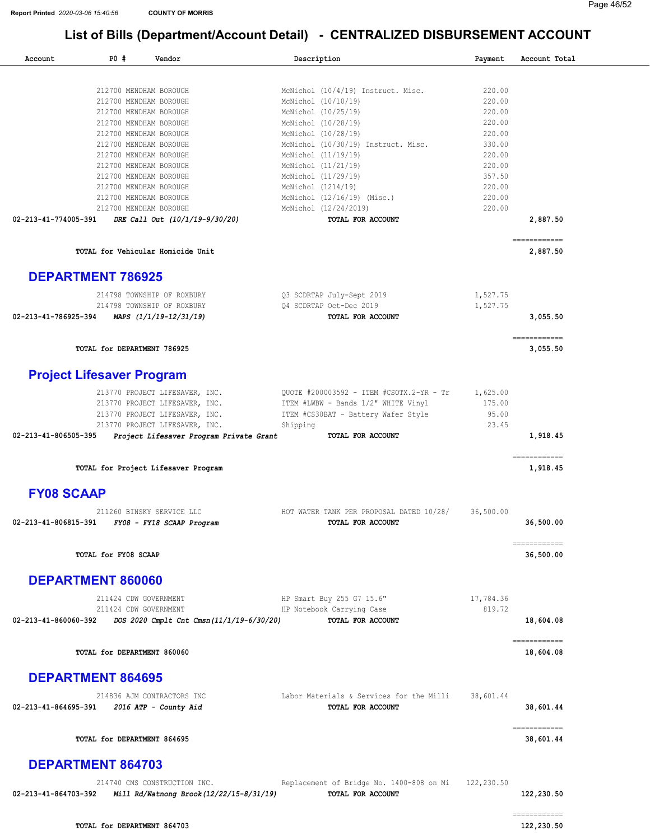| Account              | P0#                                              | Vendor                                                                   | Description                                                   | Payment          | Account Total             |
|----------------------|--------------------------------------------------|--------------------------------------------------------------------------|---------------------------------------------------------------|------------------|---------------------------|
|                      |                                                  |                                                                          |                                                               |                  |                           |
|                      | 212700 MENDHAM BOROUGH                           |                                                                          | McNichol (10/4/19) Instruct. Misc.                            | 220.00           |                           |
|                      | 212700 MENDHAM BOROUGH                           |                                                                          | McNichol (10/10/19)                                           | 220.00           |                           |
|                      | 212700 MENDHAM BOROUGH                           |                                                                          | McNichol (10/25/19)                                           | 220.00           |                           |
|                      | 212700 MENDHAM BOROUGH                           |                                                                          | McNichol (10/28/19)                                           | 220.00           |                           |
|                      | 212700 MENDHAM BOROUGH                           |                                                                          | McNichol (10/28/19)                                           | 220.00<br>330.00 |                           |
|                      | 212700 MENDHAM BOROUGH<br>212700 MENDHAM BOROUGH |                                                                          | McNichol (10/30/19) Instruct. Misc.<br>McNichol (11/19/19)    | 220.00           |                           |
|                      | 212700 MENDHAM BOROUGH                           |                                                                          | McNichol (11/21/19)                                           | 220.00           |                           |
|                      | 212700 MENDHAM BOROUGH                           |                                                                          | McNichol (11/29/19)                                           | 357.50           |                           |
|                      | 212700 MENDHAM BOROUGH                           |                                                                          | McNichol (1214/19)                                            | 220.00           |                           |
|                      | 212700 MENDHAM BOROUGH                           |                                                                          | McNichol (12/16/19) (Misc.)                                   | 220.00           |                           |
|                      | 212700 MENDHAM BOROUGH                           |                                                                          | McNichol (12/24/2019)                                         | 220.00           |                           |
| 02-213-41-774005-391 |                                                  | DRE Call Out (10/1/19-9/30/20)                                           | TOTAL FOR ACCOUNT                                             |                  | 2,887.50                  |
|                      |                                                  | TOTAL for Vehicular Homicide Unit                                        |                                                               |                  | ============<br>2,887.50  |
|                      | <b>DEPARTMENT 786925</b>                         |                                                                          |                                                               |                  |                           |
|                      |                                                  | 214798 TOWNSHIP OF ROXBURY                                               | Q3 SCDRTAP July-Sept 2019                                     | 1,527.75         |                           |
|                      |                                                  | 214798 TOWNSHIP OF ROXBURY                                               | Q4 SCDRTAP Oct-Dec 2019                                       | 1,527.75         |                           |
| 02-213-41-786925-394 |                                                  | MAPS (1/1/19-12/31/19)                                                   | TOTAL FOR ACCOUNT                                             |                  | 3,055.50                  |
|                      | TOTAL for DEPARTMENT 786925                      |                                                                          |                                                               |                  | ============<br>3,055.50  |
|                      | <b>Project Lifesaver Program</b>                 |                                                                          |                                                               |                  |                           |
|                      |                                                  | 213770 PROJECT LIFESAVER, INC.                                           | QUOTE #200003592 - ITEM #CSOTX.2-YR - Tr                      | 1,625.00         |                           |
|                      |                                                  | 213770 PROJECT LIFESAVER, INC.                                           | ITEM #LWBW - Bands 1/2" WHITE Vinyl                           | 175.00           |                           |
|                      |                                                  | 213770 PROJECT LIFESAVER, INC.                                           | ITEM #CS30BAT - Battery Wafer Style                           | 95.00            |                           |
|                      |                                                  | 213770 PROJECT LIFESAVER, INC.                                           | Shipping                                                      | 23.45            |                           |
| 02-213-41-806505-395 |                                                  | Project Lifesaver Program Private Grant                                  | TOTAL FOR ACCOUNT                                             |                  | 1,918.45                  |
|                      |                                                  | TOTAL for Project Lifesaver Program                                      |                                                               |                  | ------------<br>1,918.45  |
| <b>FY08 SCAAP</b>    |                                                  |                                                                          |                                                               |                  |                           |
|                      |                                                  | 211260 BINSKY SERVICE LLC                                                | HOT WATER TANK PER PROPOSAL DATED 10/28/                      | 36,500.00        |                           |
| 02-213-41-806815-391 |                                                  | FY08 - FY18 SCAAP Program                                                | TOTAL FOR ACCOUNT                                             |                  | 36,500.00                 |
|                      | TOTAL for FY08 SCAAP                             |                                                                          |                                                               |                  | ------------<br>36,500.00 |
|                      | DEPARTMENT 860060                                |                                                                          |                                                               |                  |                           |
|                      | 211424 CDW GOVERNMENT                            |                                                                          | HP Smart Buy 255 G7 15.6"                                     | 17,784.36        |                           |
|                      | 211424 CDW GOVERNMENT                            |                                                                          | HP Notebook Carrying Case                                     | 819.72           |                           |
| 02-213-41-860060-392 |                                                  | DOS 2020 Cmplt Cnt Cmsn(11/1/19-6/30/20)                                 | TOTAL FOR ACCOUNT                                             |                  | 18,604.08                 |
|                      | TOTAL for DEPARTMENT 860060                      |                                                                          |                                                               |                  | ------------<br>18,604.08 |
|                      | <b>DEPARTMENT 864695</b>                         |                                                                          |                                                               |                  |                           |
| 02-213-41-864695-391 |                                                  | 214836 AJM CONTRACTORS INC<br>2016 ATP - County Aid                      | Labor Materials & Services for the Milli<br>TOTAL FOR ACCOUNT | 38,601.44        | 38,601.44                 |
|                      | TOTAL for DEPARTMENT 864695                      |                                                                          |                                                               |                  | ------------<br>38,601.44 |
|                      | <b>DEPARTMENT 864703</b>                         |                                                                          |                                                               |                  |                           |
| 02-213-41-864703-392 |                                                  | 214740 CMS CONSTRUCTION INC.<br>Mill Rd/Watnong Brook (12/22/15-8/31/19) | Replacement of Bridge No. 1400-808 on Mi<br>TOTAL FOR ACCOUNT | 122,230.50       | 122,230.50                |
|                      |                                                  |                                                                          |                                                               |                  |                           |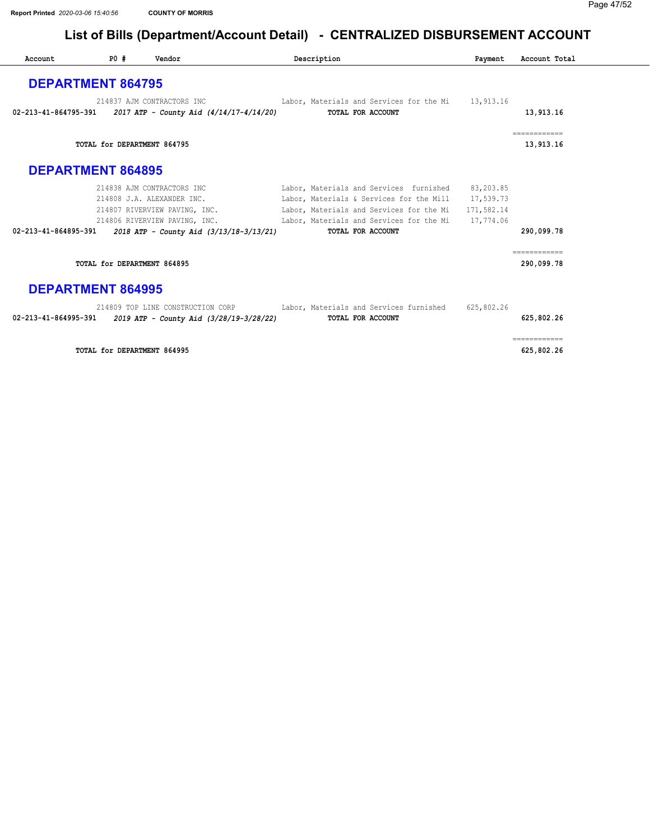| Account                  | P0# | Vendor                                                                | Description                                                                          | Payment    | Account Total              |
|--------------------------|-----|-----------------------------------------------------------------------|--------------------------------------------------------------------------------------|------------|----------------------------|
| <b>DEPARTMENT 864795</b> |     |                                                                       |                                                                                      |            |                            |
| 02-213-41-864795-391     |     | 214837 AJM CONTRACTORS INC<br>2017 ATP - County Aid (4/14/17-4/14/20) | Labor, Materials and Services for the Mi 13,913.16<br>TOTAL FOR ACCOUNT              |            | 13,913.16                  |
|                          |     | TOTAL for DEPARTMENT 864795                                           |                                                                                      |            | ============<br>13,913.16  |
| <b>DEPARTMENT 864895</b> |     |                                                                       |                                                                                      |            |                            |
|                          |     | 214838 AJM CONTRACTORS INC                                            | Labor, Materials and Services furnished 83,203.85                                    |            |                            |
|                          |     | 214808 J.A. ALEXANDER INC.                                            | Labor, Materials & Services for the Mill 17,539.73                                   |            |                            |
|                          |     | 214807 RIVERVIEW PAVING, INC.                                         | Labor, Materials and Services for the Mi                                             | 171,582.14 |                            |
|                          |     |                                                                       | 214806 RIVERVIEW PAVING, INC. Labor, Materials and Services for the Mi 17,774.06     |            |                            |
| 02-213-41-864895-391     |     | 2018 ATP - County Aid (3/13/18-3/13/21)                               | TOTAL FOR ACCOUNT                                                                    |            | 290,099.78                 |
|                          |     | TOTAL for DEPARTMENT 864895                                           |                                                                                      |            | ============<br>290,099.78 |
| <b>DEPARTMENT 864995</b> |     |                                                                       |                                                                                      |            |                            |
|                          |     |                                                                       | 214809 TOP LINE CONSTRUCTION CORP Labor, Materials and Services furnished 625,802.26 |            |                            |
| 02-213-41-864995-391     |     | 2019 ATP - County Aid (3/28/19-3/28/22)                               | TOTAL FOR ACCOUNT                                                                    |            | 625,802.26                 |
|                          |     | TOTAL for DEPARTMENT 864995                                           |                                                                                      |            | ------------<br>625,802.26 |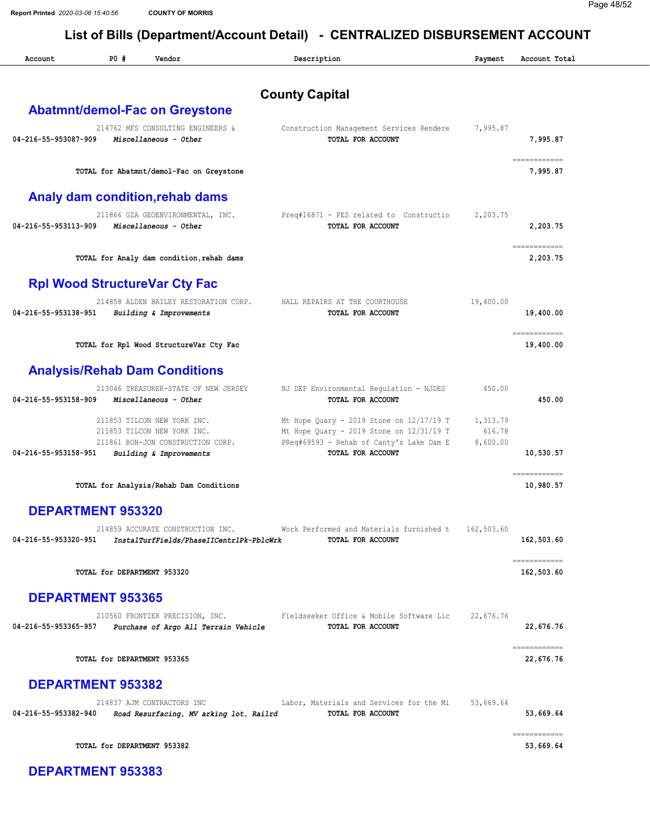County Capital

Account 20 PD # Vendor Payment Payment Payment Account Total Payment Account Total

| 214762 MFS CONSULTING ENGINEERS &<br>Construction Management Services Rendere<br>TOTAL FOR ACCOUNT                                                                                             | 7,995.87                       | 7,995.87                   |
|------------------------------------------------------------------------------------------------------------------------------------------------------------------------------------------------|--------------------------------|----------------------------|
| TOTAL for Abatmnt/demol-Fac on Greystone                                                                                                                                                       |                                | ============<br>7,995.87   |
|                                                                                                                                                                                                |                                |                            |
| 211866 GZA GEOENVIRONMENTAL, INC.<br>Preq#16871 - PES related to Constructio<br>TOTAL FOR ACCOUNT                                                                                              | 2,203.75                       | 2,203.75                   |
| TOTAL for Analy dam condition, rehab dams                                                                                                                                                      |                                | ============<br>2,203.75   |
|                                                                                                                                                                                                |                                |                            |
| 214858 ALDEN BAILEY RESTORATION CORP.<br>HALL REPAIRS AT THE COURTHOUSE<br><b>TOTAL FOR ACCOUNT</b>                                                                                            | 19,400.00                      | 19,400.00                  |
| TOTAL for Rpl Wood StructureVar Cty Fac                                                                                                                                                        |                                | ------------<br>19,400.00  |
|                                                                                                                                                                                                |                                |                            |
| 213046 TREASURER-STATE OF NEW JERSEY<br>NJ DEP Environmental Regulation - NJDES<br>TOTAL FOR ACCOUNT                                                                                           | 450.00                         | 450.00                     |
| Mt Hope Quary - 2019 Stone on $12/17/19$ T<br>Mt Hope Quary - 2019 Stone on $12/31/19$ T<br>PReq#69593 - Rehab of Canty's Lake Dam E<br>211861 RON-JON CONSTRUCTION CORP.<br>TOTAL FOR ACCOUNT | 1,313.79<br>616.78<br>8,600.00 | 10,530.57                  |
| TOTAL for Analysis/Rehab Dam Conditions                                                                                                                                                        |                                | ============<br>10,980.57  |
|                                                                                                                                                                                                |                                |                            |
| 214859 ACCURATE CONSTRUCTION INC.<br>Work Performed and Materials furnished t<br>InstalTurfFields/PhaseIICentrlPk-PblcWrk<br><b>TOTAL FOR ACCOUNT</b>                                          | 162,503.60                     | 162,503.60                 |
|                                                                                                                                                                                                |                                | ------------<br>162,503.60 |
|                                                                                                                                                                                                |                                |                            |
| Fieldseeker Office & Mobile Software Lic<br>TOTAL FOR ACCOUNT<br>Purchase of Argo All Terrain Vehicle                                                                                          | 22,676.76                      | 22,676.76                  |
|                                                                                                                                                                                                |                                | ============<br>22,676.76  |
|                                                                                                                                                                                                |                                |                            |
| Labor, Materials and Services for the Mi<br>Road Resurfacing, MV arking lot, Railrd<br>TOTAL FOR ACCOUNT                                                                                       |                                | 53,669.64                  |
|                                                                                                                                                                                                |                                | ------------<br>53,669.64  |
|                                                                                                                                                                                                |                                |                            |
|                                                                                                                                                                                                |                                | 53,669.64                  |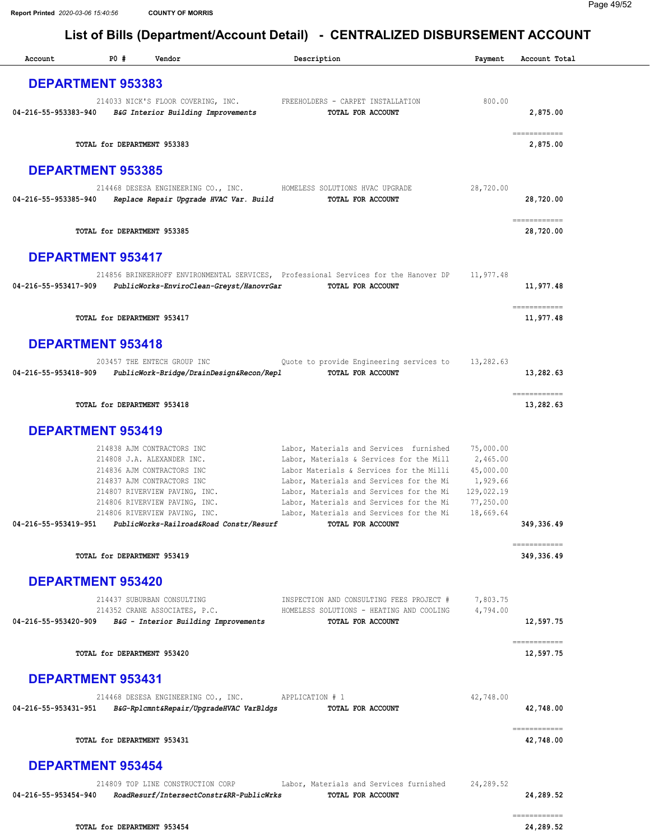| Account                  | P0#                         | Vendor                                                                                                                                                                                                                                                             | Description                                                                                                                                                                                                                                                                                                                          | Payment                                                                                | Account Total                                                                                                                                                                                                                                                                                                                                                                                                                                                                                         |
|--------------------------|-----------------------------|--------------------------------------------------------------------------------------------------------------------------------------------------------------------------------------------------------------------------------------------------------------------|--------------------------------------------------------------------------------------------------------------------------------------------------------------------------------------------------------------------------------------------------------------------------------------------------------------------------------------|----------------------------------------------------------------------------------------|-------------------------------------------------------------------------------------------------------------------------------------------------------------------------------------------------------------------------------------------------------------------------------------------------------------------------------------------------------------------------------------------------------------------------------------------------------------------------------------------------------|
| <b>DEPARTMENT 953383</b> |                             |                                                                                                                                                                                                                                                                    |                                                                                                                                                                                                                                                                                                                                      |                                                                                        |                                                                                                                                                                                                                                                                                                                                                                                                                                                                                                       |
| 04-216-55-953383-940     |                             | 214033 NICK'S FLOOR COVERING, INC.<br>B&G Interior Building Improvements                                                                                                                                                                                           | FREEHOLDERS - CARPET INSTALLATION<br>TOTAL FOR ACCOUNT                                                                                                                                                                                                                                                                               | 800.00                                                                                 | 2,875.00                                                                                                                                                                                                                                                                                                                                                                                                                                                                                              |
|                          | TOTAL for DEPARTMENT 953383 |                                                                                                                                                                                                                                                                    |                                                                                                                                                                                                                                                                                                                                      |                                                                                        | $\begin{minipage}{0.03\linewidth} \begin{tabular}{l} \multicolumn{2}{l}{} & \multicolumn{2}{l}{} & \multicolumn{2}{l}{} \\ \multicolumn{2}{l}{} & \multicolumn{2}{l}{} & \multicolumn{2}{l}{} \\ \multicolumn{2}{l}{} & \multicolumn{2}{l}{} & \multicolumn{2}{l}{} \\ \multicolumn{2}{l}{} & \multicolumn{2}{l}{} & \multicolumn{2}{l}{} \\ \multicolumn{2}{l}{} & \multicolumn{2}{l}{} & \multicolumn{2}{l}{} \\ \multicolumn{2}{l}{} & \multicolumn{2}{l}{} & \multicolumn{2}{l}{} \\$<br>2,875.00 |
| <b>DEPARTMENT 953385</b> |                             |                                                                                                                                                                                                                                                                    |                                                                                                                                                                                                                                                                                                                                      |                                                                                        |                                                                                                                                                                                                                                                                                                                                                                                                                                                                                                       |
| 04-216-55-953385-940     |                             | 214468 DESESA ENGINEERING CO., INC.<br>Replace Repair Upgrade HVAC Var. Build                                                                                                                                                                                      | HOMELESS SOLUTIONS HVAC UPGRADE<br>TOTAL FOR ACCOUNT                                                                                                                                                                                                                                                                                 | 28,720.00                                                                              | 28,720.00                                                                                                                                                                                                                                                                                                                                                                                                                                                                                             |
|                          | TOTAL for DEPARTMENT 953385 |                                                                                                                                                                                                                                                                    |                                                                                                                                                                                                                                                                                                                                      |                                                                                        | ------------<br>28,720.00                                                                                                                                                                                                                                                                                                                                                                                                                                                                             |
| <b>DEPARTMENT 953417</b> |                             |                                                                                                                                                                                                                                                                    |                                                                                                                                                                                                                                                                                                                                      |                                                                                        |                                                                                                                                                                                                                                                                                                                                                                                                                                                                                                       |
| 04-216-55-953417-909     |                             | PublicWorks-EnviroClean-Greyst/HanovrGar                                                                                                                                                                                                                           | 214856 BRINKERHOFF ENVIRONMENTAL SERVICES, Professional Services for the Hanover DP<br>TOTAL FOR ACCOUNT                                                                                                                                                                                                                             | 11,977.48                                                                              | 11,977.48                                                                                                                                                                                                                                                                                                                                                                                                                                                                                             |
|                          | TOTAL for DEPARTMENT 953417 |                                                                                                                                                                                                                                                                    |                                                                                                                                                                                                                                                                                                                                      |                                                                                        | ============<br>11,977.48                                                                                                                                                                                                                                                                                                                                                                                                                                                                             |
| <b>DEPARTMENT 953418</b> |                             |                                                                                                                                                                                                                                                                    |                                                                                                                                                                                                                                                                                                                                      |                                                                                        |                                                                                                                                                                                                                                                                                                                                                                                                                                                                                                       |
| 04-216-55-953418-909     |                             | 203457 THE ENTECH GROUP INC<br>PublicWork-Bridge/DrainDesign&Recon/Repl                                                                                                                                                                                            | Quote to provide Engineering services to<br>TOTAL FOR ACCOUNT                                                                                                                                                                                                                                                                        | 13,282.63                                                                              | 13,282.63                                                                                                                                                                                                                                                                                                                                                                                                                                                                                             |
|                          | TOTAL for DEPARTMENT 953418 |                                                                                                                                                                                                                                                                    |                                                                                                                                                                                                                                                                                                                                      |                                                                                        | ============<br>13,282.63                                                                                                                                                                                                                                                                                                                                                                                                                                                                             |
| <b>DEPARTMENT 953419</b> |                             |                                                                                                                                                                                                                                                                    |                                                                                                                                                                                                                                                                                                                                      |                                                                                        |                                                                                                                                                                                                                                                                                                                                                                                                                                                                                                       |
| 04-216-55-953419-951     |                             | 214838 AJM CONTRACTORS INC<br>214808 J.A. ALEXANDER INC.<br>214836 AJM CONTRACTORS INC<br>214837 AJM CONTRACTORS INC<br>214807 RIVERVIEW PAVING, INC.<br>214806 RIVERVIEW PAVING, INC.<br>214806 RIVERVIEW PAVING, INC.<br>PublicWorks-Railroad&Road Constr/Resurf | Labor, Materials and Services furnished<br>Labor, Materials & Services for the Mill<br>Labor Materials & Services for the Milli<br>Labor, Materials and Services for the Mi<br>Labor, Materials and Services for the Mi<br>Labor, Materials and Services for the Mi<br>Labor, Materials and Services for the Mi<br>TOTAL FOR ACCOUNT | 75,000.00<br>2,465.00<br>45,000.00<br>1,929.66<br>129,022.19<br>77,250.00<br>18,669.64 | 349,336.49                                                                                                                                                                                                                                                                                                                                                                                                                                                                                            |
|                          | TOTAL for DEPARTMENT 953419 |                                                                                                                                                                                                                                                                    |                                                                                                                                                                                                                                                                                                                                      |                                                                                        | ============<br>349,336.49                                                                                                                                                                                                                                                                                                                                                                                                                                                                            |
| <b>DEPARTMENT 953420</b> |                             |                                                                                                                                                                                                                                                                    |                                                                                                                                                                                                                                                                                                                                      |                                                                                        |                                                                                                                                                                                                                                                                                                                                                                                                                                                                                                       |
| 04-216-55-953420-909     |                             | 214437 SUBURBAN CONSULTING<br>214352 CRANE ASSOCIATES, P.C.<br>B&G - Interior Building Improvements                                                                                                                                                                | INSPECTION AND CONSULTING FEES PROJECT #<br>HOMELESS SOLUTIONS - HEATING AND COOLING<br>TOTAL FOR ACCOUNT                                                                                                                                                                                                                            | 7,803.75<br>4,794.00                                                                   | 12,597.75                                                                                                                                                                                                                                                                                                                                                                                                                                                                                             |
|                          | TOTAL for DEPARTMENT 953420 |                                                                                                                                                                                                                                                                    |                                                                                                                                                                                                                                                                                                                                      |                                                                                        | ============<br>12,597.75                                                                                                                                                                                                                                                                                                                                                                                                                                                                             |
| <b>DEPARTMENT 953431</b> |                             |                                                                                                                                                                                                                                                                    |                                                                                                                                                                                                                                                                                                                                      |                                                                                        |                                                                                                                                                                                                                                                                                                                                                                                                                                                                                                       |
| 04-216-55-953431-951     |                             | 214468 DESESA ENGINEERING CO., INC.<br>B&G-Rplcmnt&Repair/UpgradeHVAC VarBldgs                                                                                                                                                                                     | APPLICATION # 1<br>TOTAL FOR ACCOUNT                                                                                                                                                                                                                                                                                                 | 42,748.00                                                                              | 42,748.00                                                                                                                                                                                                                                                                                                                                                                                                                                                                                             |
|                          | TOTAL for DEPARTMENT 953431 |                                                                                                                                                                                                                                                                    |                                                                                                                                                                                                                                                                                                                                      |                                                                                        | ------------<br>42,748.00                                                                                                                                                                                                                                                                                                                                                                                                                                                                             |
| <b>DEPARTMENT 953454</b> |                             |                                                                                                                                                                                                                                                                    |                                                                                                                                                                                                                                                                                                                                      |                                                                                        |                                                                                                                                                                                                                                                                                                                                                                                                                                                                                                       |
| 04-216-55-953454-940     |                             | 214809 TOP LINE CONSTRUCTION CORP<br>RoadResurf/IntersectConstr&RR-PublicWrks                                                                                                                                                                                      | Labor, Materials and Services furnished<br>TOTAL FOR ACCOUNT                                                                                                                                                                                                                                                                         | 24,289.52                                                                              | 24,289.52                                                                                                                                                                                                                                                                                                                                                                                                                                                                                             |
|                          | TOTAL for DEPARTMENT 953454 |                                                                                                                                                                                                                                                                    |                                                                                                                                                                                                                                                                                                                                      |                                                                                        | ============<br>24,289.52                                                                                                                                                                                                                                                                                                                                                                                                                                                                             |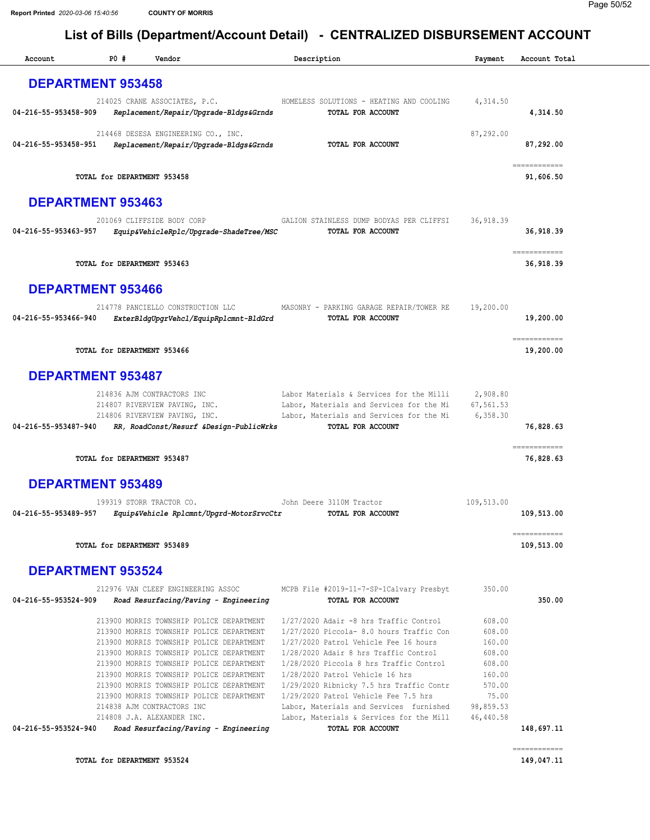| Account              | P0 #                        | Vendor                                                                               | Description                                                                         | Payment                | Account Total |
|----------------------|-----------------------------|--------------------------------------------------------------------------------------|-------------------------------------------------------------------------------------|------------------------|---------------|
|                      | <b>DEPARTMENT 953458</b>    |                                                                                      |                                                                                     |                        |               |
|                      |                             |                                                                                      |                                                                                     |                        |               |
| 04-216-55-953458-909 |                             | 214025 CRANE ASSOCIATES, P.C.<br>Replacement/Repair/Upgrade-Bldgs&Grnds              | HOMELESS SOLUTIONS - HEATING AND COOLING<br>TOTAL FOR ACCOUNT                       | 4,314.50               | 4,314.50      |
|                      |                             |                                                                                      |                                                                                     |                        |               |
|                      |                             | 214468 DESESA ENGINEERING CO., INC.                                                  |                                                                                     | 87,292.00              |               |
| 04-216-55-953458-951 |                             | Replacement/Repair/Upgrade-Bldgs&Grnds                                               | TOTAL FOR ACCOUNT                                                                   |                        | 87,292.00     |
|                      |                             |                                                                                      |                                                                                     |                        | ------------  |
|                      | TOTAL for DEPARTMENT 953458 |                                                                                      |                                                                                     |                        | 91,606.50     |
|                      |                             |                                                                                      |                                                                                     |                        |               |
|                      | <b>DEPARTMENT 953463</b>    |                                                                                      |                                                                                     |                        |               |
|                      |                             | 201069 CLIFFSIDE BODY CORP                                                           | GALION STAINLESS DUMP BODYAS PER CLIFFSI                                            | 36, 918.39             |               |
| 04-216-55-953463-957 |                             | Equip&VehicleRplc/Upgrade-ShadeTree/MSC                                              | TOTAL FOR ACCOUNT                                                                   |                        | 36,918.39     |
|                      |                             |                                                                                      |                                                                                     |                        | ------------  |
|                      | TOTAL for DEPARTMENT 953463 |                                                                                      |                                                                                     |                        | 36,918.39     |
|                      |                             |                                                                                      |                                                                                     |                        |               |
|                      | <b>DEPARTMENT 953466</b>    |                                                                                      |                                                                                     |                        |               |
|                      |                             | 214778 PANCIELLO CONSTRUCTION LLC                                                    | MASONRY - PARKING GARAGE REPAIR/TOWER RE                                            | 19,200.00              |               |
| 04-216-55-953466-940 |                             | ExterBldgUpgrVehcl/EquipRplcmnt-BldGrd                                               | TOTAL FOR ACCOUNT                                                                   |                        | 19,200.00     |
|                      |                             |                                                                                      |                                                                                     |                        | ------------  |
|                      | TOTAL for DEPARTMENT 953466 |                                                                                      |                                                                                     |                        | 19,200.00     |
|                      |                             |                                                                                      |                                                                                     |                        |               |
|                      | <b>DEPARTMENT 953487</b>    |                                                                                      |                                                                                     |                        |               |
|                      |                             | 214836 AJM CONTRACTORS INC                                                           | Labor Materials & Services for the Milli                                            | 2,908.80               |               |
|                      |                             | 214807 RIVERVIEW PAVING, INC.                                                        | Labor, Materials and Services for the Mi                                            | 67,561.53              |               |
|                      |                             | 214806 RIVERVIEW PAVING, INC.                                                        | Labor, Materials and Services for the Mi                                            | 6,358.30               |               |
| 04-216-55-953487-940 |                             | RR, RoadConst/Resurf &Design-PublicWrks                                              | TOTAL FOR ACCOUNT                                                                   |                        | 76,828.63     |
|                      |                             |                                                                                      |                                                                                     |                        | ------------  |
|                      | TOTAL for DEPARTMENT 953487 |                                                                                      |                                                                                     |                        | 76,828.63     |
|                      | <b>DEPARTMENT 953489</b>    |                                                                                      |                                                                                     |                        |               |
|                      |                             |                                                                                      |                                                                                     |                        |               |
|                      |                             | 199319 STORR TRACTOR CO.                                                             | John Deere 3110M Tractor                                                            | 109,513.00             |               |
| 04-216-55-953489-957 |                             | Equip&Vehicle Rplcmnt/Upgrd-MotorSrvcCtr                                             | <b>TOTAL FOR ACCOUNT</b>                                                            |                        | 109,513.00    |
|                      |                             |                                                                                      |                                                                                     |                        | ============  |
|                      | TOTAL for DEPARTMENT 953489 |                                                                                      |                                                                                     |                        | 109,513.00    |
|                      |                             |                                                                                      |                                                                                     |                        |               |
|                      | <b>DEPARTMENT 953524</b>    |                                                                                      |                                                                                     |                        |               |
|                      |                             | 212976 VAN CLEEF ENGINEERING ASSOC                                                   | MCPB File #2019-11-7-SP-1Calvary Presbyt                                            | 350.00                 |               |
| 04-216-55-953524-909 |                             | Road Resurfacing/Paving - Engineering                                                | TOTAL FOR ACCOUNT                                                                   |                        | 350.00        |
|                      |                             | 213900 MORRIS TOWNSHIP POLICE DEPARTMENT                                             | 1/27/2020 Adair -8 hrs Traffic Control                                              | 608.00                 |               |
|                      |                             | 213900 MORRIS TOWNSHIP POLICE DEPARTMENT                                             | 1/27/2020 Piccola- 8.0 hours Traffic Con                                            | 608.00                 |               |
|                      |                             | 213900 MORRIS TOWNSHIP POLICE DEPARTMENT                                             | 1/27/2020 Patrol Vehicle Fee 16 hours                                               | 160.00                 |               |
|                      |                             | 213900 MORRIS TOWNSHIP POLICE DEPARTMENT<br>213900 MORRIS TOWNSHIP POLICE DEPARTMENT | 1/28/2020 Adair 8 hrs Traffic Control<br>1/28/2020 Piccola 8 hrs Traffic Control    | 608.00<br>608.00       |               |
|                      |                             | 213900 MORRIS TOWNSHIP POLICE DEPARTMENT                                             | 1/28/2020 Patrol Vehicle 16 hrs                                                     | 160.00                 |               |
|                      |                             | 213900 MORRIS TOWNSHIP POLICE DEPARTMENT                                             | 1/29/2020 Ribnicky 7.5 hrs Traffic Contr                                            | 570.00                 |               |
|                      |                             | 213900 MORRIS TOWNSHIP POLICE DEPARTMENT                                             | 1/29/2020 Patrol Vehicle Fee 7.5 hrs                                                | 75.00                  |               |
|                      |                             | 214838 AJM CONTRACTORS INC<br>214808 J.A. ALEXANDER INC.                             | Labor, Materials and Services furnished<br>Labor, Materials & Services for the Mill | 98,859.53<br>46,440.58 |               |
| 04-216-55-953524-940 |                             | Road Resurfacing/Paving - Engineering                                                | TOTAL FOR ACCOUNT                                                                   |                        | 148,697.11    |
|                      |                             |                                                                                      |                                                                                     |                        |               |
|                      |                             |                                                                                      |                                                                                     |                        | ============  |

TOTAL for DEPARTMENT 953524 [149,047.11](https://149,047.11)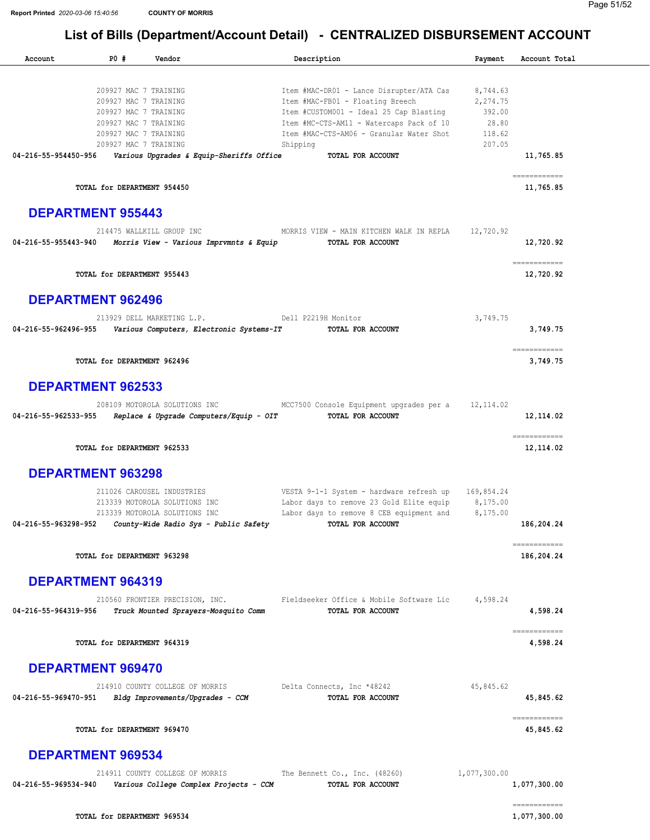|                                              | PO#                                            | Vendor                                                                   | Description                                                                         | Payment         | Account Total                                                                                                            |
|----------------------------------------------|------------------------------------------------|--------------------------------------------------------------------------|-------------------------------------------------------------------------------------|-----------------|--------------------------------------------------------------------------------------------------------------------------|
|                                              |                                                |                                                                          |                                                                                     |                 |                                                                                                                          |
|                                              | 209927 MAC 7 TRAINING                          |                                                                          | Item #MAC-DR01 - Lance Disrupter/ATA Cas                                            | 8,744.63        |                                                                                                                          |
|                                              | 209927 MAC 7 TRAINING                          |                                                                          | Item #MAC-FB01 - Floating Breech                                                    | 2,274.75        |                                                                                                                          |
|                                              | 209927 MAC 7 TRAINING<br>209927 MAC 7 TRAINING |                                                                          | Item #CUSTOM001 - Ideal 25 Cap Blasting<br>Item #MC-CTS-AM11 - Watercaps Pack of 10 | 392.00<br>28.80 |                                                                                                                          |
|                                              | 209927 MAC 7 TRAINING                          |                                                                          | Item #MAC-CTS-AM06 - Granular Water Shot                                            | 118.62          |                                                                                                                          |
|                                              | 209927 MAC 7 TRAINING                          |                                                                          | Shipping                                                                            | 207.05          |                                                                                                                          |
| 04-216-55-954450-956                         |                                                | Various Upgrades & Equip-Sheriffs Office                                 | TOTAL FOR ACCOUNT                                                                   |                 | 11,765.85                                                                                                                |
|                                              | TOTAL for DEPARTMENT 954450                    |                                                                          |                                                                                     |                 | ============<br>11,765.85                                                                                                |
| <b>DEPARTMENT 955443</b>                     |                                                |                                                                          |                                                                                     |                 |                                                                                                                          |
|                                              |                                                | 214475 WALLKILL GROUP INC                                                | MORRIS VIEW - MAIN KITCHEN WALK IN REPLA                                            | 12,720.92       |                                                                                                                          |
| 04-216-55-955443-940                         |                                                | Morris View - Various Imprvmnts & Equip                                  | TOTAL FOR ACCOUNT                                                                   |                 | 12,720.92                                                                                                                |
|                                              | TOTAL for DEPARTMENT 955443                    |                                                                          |                                                                                     |                 | ============<br>12,720.92                                                                                                |
| <b>DEPARTMENT 962496</b>                     |                                                |                                                                          |                                                                                     |                 |                                                                                                                          |
|                                              |                                                | 213929 DELL MARKETING L.P.                                               | Dell P2219H Monitor                                                                 | 3,749.75        |                                                                                                                          |
| 04-216-55-962496-955                         |                                                | Various Computers, Electronic Systems-IT                                 | TOTAL FOR ACCOUNT                                                                   |                 | 3,749.75                                                                                                                 |
|                                              | TOTAL for DEPARTMENT 962496                    |                                                                          |                                                                                     |                 | ------------<br>3,749.75                                                                                                 |
| <b>DEPARTMENT 962533</b>                     |                                                |                                                                          |                                                                                     |                 |                                                                                                                          |
| 04-216-55-962533-955                         |                                                | 208109 MOTOROLA SOLUTIONS INC<br>Replace & Upgrade Computers/Equip - OIT | MCC7500 Console Equipment upgrades per a<br>TOTAL FOR ACCOUNT                       | 12, 114.02      | 12, 114.02                                                                                                               |
|                                              | TOTAL for DEPARTMENT 962533                    |                                                                          |                                                                                     |                 | $\small \texttt{m} \texttt{m} \texttt{m} \texttt{m} \texttt{m} \texttt{m} \texttt{m} \texttt{m} \texttt{m}$<br>12,114.02 |
| <b>DEPARTMENT 963298</b>                     |                                                |                                                                          |                                                                                     |                 |                                                                                                                          |
|                                              |                                                | 211026 CAROUSEL INDUSTRIES                                               | VESTA 9-1-1 System - hardware refresh up 169,854.24                                 |                 |                                                                                                                          |
|                                              |                                                |                                                                          |                                                                                     |                 |                                                                                                                          |
|                                              |                                                | 213339 MOTOROLA SOLUTIONS INC                                            | Labor days to remove 23 Gold Elite equip                                            | 8,175.00        |                                                                                                                          |
|                                              |                                                | 213339 MOTOROLA SOLUTIONS INC                                            | Labor days to remove 8 CEB equipment and                                            | 8,175.00        |                                                                                                                          |
|                                              |                                                | County-Wide Radio Sys - Public Safety                                    | TOTAL FOR ACCOUNT                                                                   |                 | 186,204.24                                                                                                               |
|                                              | TOTAL for DEPARTMENT 963298                    |                                                                          |                                                                                     |                 | ============<br>186,204.24                                                                                               |
| <b>DEPARTMENT 964319</b>                     |                                                |                                                                          |                                                                                     |                 |                                                                                                                          |
| 04-216-55-963298-952<br>04-216-55-964319-956 |                                                | 210560 FRONTIER PRECISION, INC.<br>Truck Mounted Sprayers-Mosquito Comm  | Fieldseeker Office & Mobile Software Lic<br>TOTAL FOR ACCOUNT                       | 4,598.24        | 4,598.24                                                                                                                 |
|                                              | TOTAL for DEPARTMENT 964319                    |                                                                          |                                                                                     |                 | ============<br>4,598.24                                                                                                 |
| <b>DEPARTMENT 969470</b>                     |                                                |                                                                          |                                                                                     |                 |                                                                                                                          |
|                                              |                                                | 214910 COUNTY COLLEGE OF MORRIS                                          | Delta Connects, Inc *48242                                                          | 45,845.62       |                                                                                                                          |
| 04-216-55-969470-951                         |                                                | Bldg Improvements/Upgrades - CCM                                         | TOTAL FOR ACCOUNT                                                                   |                 | 45,845.62                                                                                                                |
|                                              | TOTAL for DEPARTMENT 969470                    |                                                                          |                                                                                     |                 | ============<br>45,845.62                                                                                                |
| <b>DEPARTMENT 969534</b>                     |                                                |                                                                          |                                                                                     |                 |                                                                                                                          |
|                                              |                                                | 214911 COUNTY COLLEGE OF MORRIS                                          | The Bennett Co., Inc. (48260)                                                       | 1,077,300.00    |                                                                                                                          |